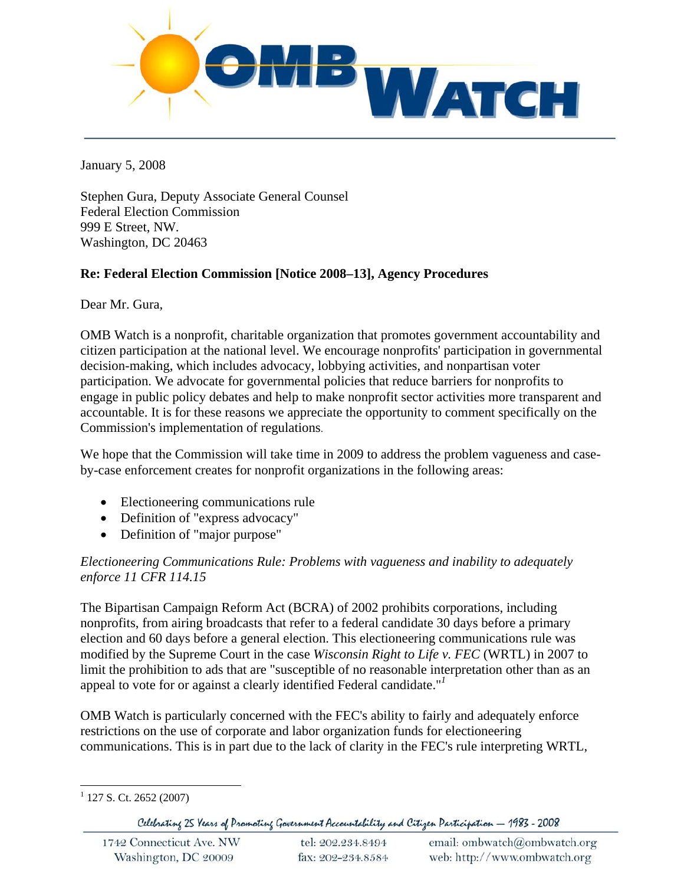

January 5, 2008

Stephen Gura, Deputy Associate General Counsel Federal Election Commission 999 E Street, NW. Washington, DC 20463

## **Re: Federal Election Commission [Notice 2008–13], Agency Procedures**

Dear Mr. Gura,

OMB Watch is a nonprofit, charitable organization that promotes government accountability and citizen participation at the national level. We encourage nonprofits' participation in governmental decision-making, which includes advocacy, lobbying activities, and nonpartisan voter participation. We advocate for governmental policies that reduce barriers for nonprofits to engage in public policy debates and help to make nonprofit sector activities more transparent and accountable. It is for these reasons we appreciate the opportunity to comment specifically on the Commission's implementation of regulations.

We hope that the Commission will take time in 2009 to address the problem vagueness and caseby-case enforcement creates for nonprofit organizations in the following areas:

- Electioneering communications rule
- Definition of "express advocacy"
- Definition of "major purpose"

## *Electioneering Communications Rule: Problems with vagueness and inability to adequately enforce 11 CFR 114.15*

The Bipartisan Campaign Reform Act (BCRA) of 2002 prohibits corporations, including nonprofits, from airing broadcasts that refer to a federal candidate 30 days before a primary election and 60 days before a general election. This electioneering communications rule was modified by the Supreme Court in the case *Wisconsin Right to Life v. FEC* (WRTL) in 2007 to limit the prohibition to ads that are "susceptible of no reasonable interpretation other than as an appeal to vote for or against a clearly identified Federal candidate."*<sup>1</sup>*

OMB Watch is particularly concerned with the FEC's ability to fairly and adequately enforce restrictions on the use of corporate and labor organization funds for electioneering communications. This is in part due to the lack of clarity in the FEC's rule interpreting WRTL,

 $\overline{a}$  $1$  127 S. Ct. 2652 (2007)

Celebrating 25 Years of Promoting Government Accountability and Citizen Participation - 1983 - 2008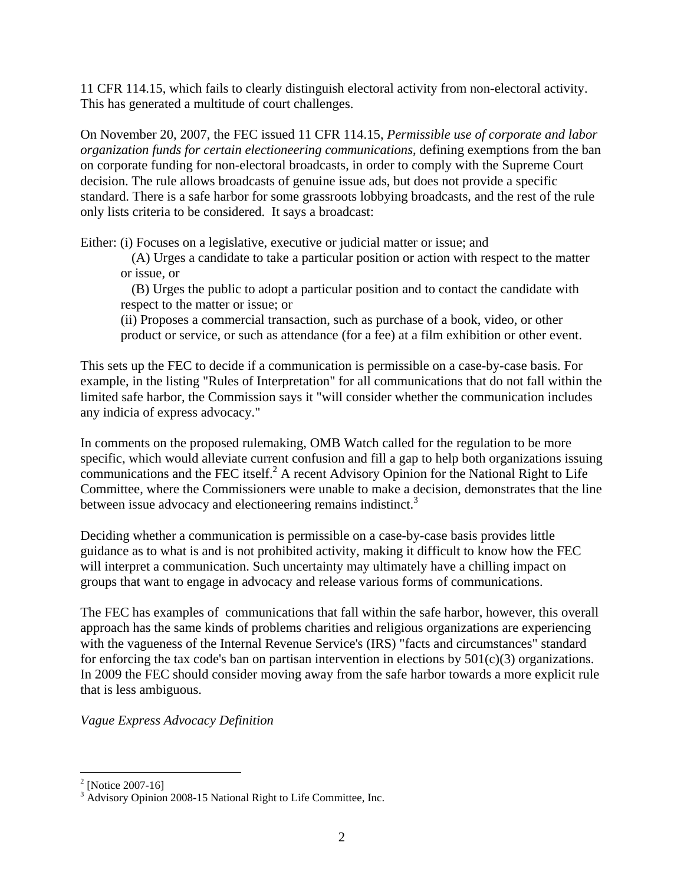11 CFR 114.15, which fails to clearly distinguish electoral activity from non-electoral activity. This has generated a multitude of court challenges.

On November 20, 2007, the FEC issued 11 CFR 114.15, *Permissible use of corporate and labor organization funds for certain electioneering communications*, defining exemptions from the ban on corporate funding for non-electoral broadcasts, in order to comply with the Supreme Court decision. The rule allows broadcasts of genuine issue ads, but does not provide a specific standard. There is a safe harbor for some grassroots lobbying broadcasts, and the rest of the rule only lists criteria to be considered. It says a broadcast:

Either: (i) Focuses on a legislative, executive or judicial matter or issue; and

(A) Urges a candidate to take a particular position or action with respect to the matter or issue, or

(B) Urges the public to adopt a particular position and to contact the candidate with respect to the matter or issue; or

(ii) Proposes a commercial transaction, such as purchase of a book, video, or other product or service, or such as attendance (for a fee) at a film exhibition or other event.

This sets up the FEC to decide if a communication is permissible on a case-by-case basis. For example, in the listing "Rules of Interpretation" for all communications that do not fall within the limited safe harbor, the Commission says it "will consider whether the communication includes any indicia of express advocacy."

In comments on the proposed rulemaking, OMB Watch called for the regulation to be more specific, which would alleviate current confusion and fill a gap to help both organizations issuing communications and the FEC itself.<sup>2</sup> A recent Advisory Opinion for the National Right to Life Committee, where the Commissioners were unable to make a decision, demonstrates that the line between issue advocacy and electioneering remains indistinct.<sup>3</sup>

Deciding whether a communication is permissible on a case-by-case basis provides little guidance as to what is and is not prohibited activity, making it difficult to know how the FEC will interpret a communication. Such uncertainty may ultimately have a chilling impact on groups that want to engage in advocacy and release various forms of communications.

The FEC has examples of communications that fall within the safe harbor, however, this overall approach has the same kinds of problems charities and religious organizations are experiencing with the vagueness of the Internal Revenue Service's (IRS) "facts and circumstances" standard for enforcing the tax code's ban on partisan intervention in elections by  $501(c)(3)$  organizations. In 2009 the FEC should consider moving away from the safe harbor towards a more explicit rule that is less ambiguous.

*Vague Express Advocacy Definition* 

 2 [Notice 2007-16]

 $^2$  [Notice 2007-16]<br><sup>3</sup> Advisory Opinion 2008-15 National Right to Life Committee, Inc.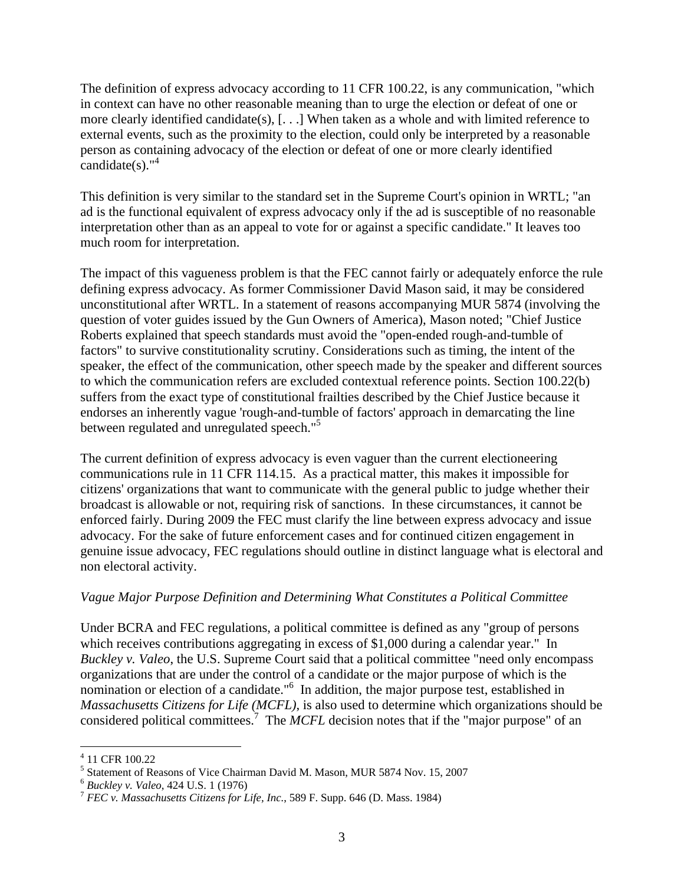The definition of express advocacy according to 11 CFR 100.22, is any communication, "which in context can have no other reasonable meaning than to urge the election or defeat of one or more clearly identified candidate(s), [. . .] When taken as a whole and with limited reference to external events, such as the proximity to the election, could only be interpreted by a reasonable person as containing advocacy of the election or defeat of one or more clearly identified candidate(s). $"^4$ 

This definition is very similar to the standard set in the Supreme Court's opinion in WRTL; "an ad is the functional equivalent of express advocacy only if the ad is susceptible of no reasonable interpretation other than as an appeal to vote for or against a specific candidate." It leaves too much room for interpretation.

The impact of this vagueness problem is that the FEC cannot fairly or adequately enforce the rule defining express advocacy. As former Commissioner David Mason said, it may be considered unconstitutional after WRTL. In a statement of reasons accompanying MUR 5874 (involving the question of voter guides issued by the Gun Owners of America), Mason noted; "Chief Justice Roberts explained that speech standards must avoid the "open-ended rough-and-tumble of factors" to survive constitutionality scrutiny. Considerations such as timing, the intent of the speaker, the effect of the communication, other speech made by the speaker and different sources to which the communication refers are excluded contextual reference points. Section 100.22(b) suffers from the exact type of constitutional frailties described by the Chief Justice because it endorses an inherently vague 'rough-and-tumble of factors' approach in demarcating the line between regulated and unregulated speech."<sup>5</sup>

The current definition of express advocacy is even vaguer than the current electioneering communications rule in 11 CFR 114.15. As a practical matter, this makes it impossible for citizens' organizations that want to communicate with the general public to judge whether their broadcast is allowable or not, requiring risk of sanctions. In these circumstances, it cannot be enforced fairly. During 2009 the FEC must clarify the line between express advocacy and issue advocacy. For the sake of future enforcement cases and for continued citizen engagement in genuine issue advocacy, FEC regulations should outline in distinct language what is electoral and non electoral activity.

## *Vague Major Purpose Definition and Determining What Constitutes a Political Committee*

Under BCRA and FEC regulations, a political committee is defined as any "group of persons which receives contributions aggregating in excess of \$1,000 during a calendar year." In *Buckley v. Valeo*, the U.S. Supreme Court said that a political committee "need only encompass organizations that are under the control of a candidate or the major purpose of which is the nomination or election of a candidate."<sup>6</sup> In addition, the major purpose test, established in *Massachusetts Citizens for Life (MCFL)*, is also used to determine which organizations should be considered political committees.<sup>7</sup> The *MCFL* decision notes that if the "major purpose" of an

 $\overline{a}$ 

<sup>4</sup> 11 CFR 100.22

 $^{4}$  11 CFR 100.22<br><sup>5</sup> Statement of Reasons of Vice Chairman David M. Mason, MUR 5874 Nov. 15, 2007

<sup>6</sup>*Buckley v. Valeo*, 424 U.S. 1 (1976) 7 *FEC v. Massachusetts Citizens for Life, Inc.*, 589 F. Supp. 646 (D. Mass. 1984)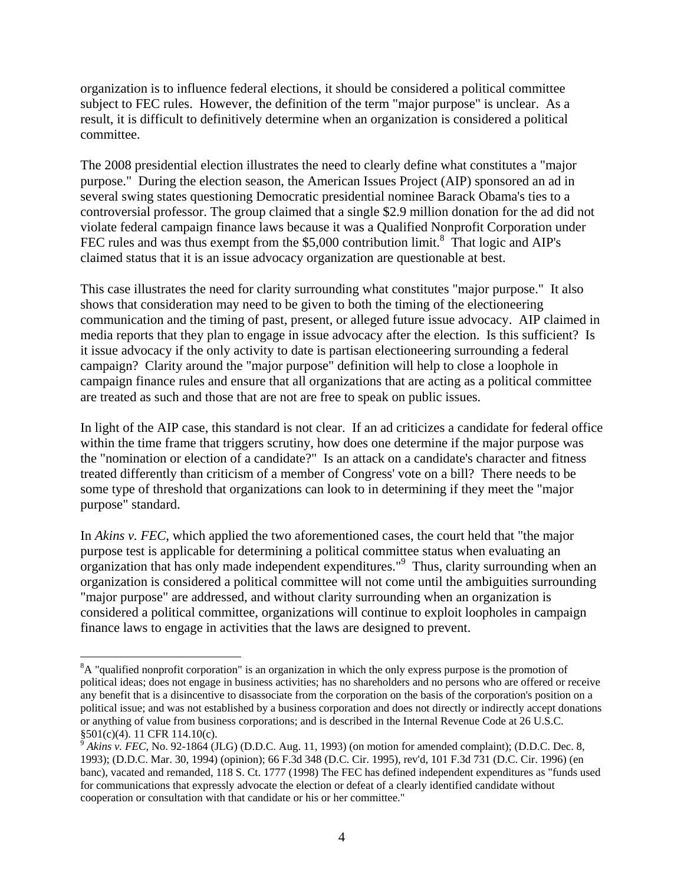organization is to influence federal elections, it should be considered a political committee subject to FEC rules. However, the definition of the term "major purpose" is unclear. As a result, it is difficult to definitively determine when an organization is considered a political committee.

The 2008 presidential election illustrates the need to clearly define what constitutes a "major purpose." During the election season, the American Issues Project (AIP) sponsored an ad in several swing states questioning Democratic presidential nominee Barack Obama's ties to a controversial professor. The group claimed that a single \$2.9 million donation for the ad did not violate federal campaign finance laws because it was a Qualified Nonprofit Corporation under FEC rules and was thus exempt from the  $$5,000$  contribution limit.<sup>8</sup> That logic and AIP's claimed status that it is an issue advocacy organization are questionable at best.

This case illustrates the need for clarity surrounding what constitutes "major purpose." It also shows that consideration may need to be given to both the timing of the electioneering communication and the timing of past, present, or alleged future issue advocacy. AIP claimed in media reports that they plan to engage in issue advocacy after the election. Is this sufficient? Is it issue advocacy if the only activity to date is partisan electioneering surrounding a federal campaign? Clarity around the "major purpose" definition will help to close a loophole in campaign finance rules and ensure that all organizations that are acting as a political committee are treated as such and those that are not are free to speak on public issues.

In light of the AIP case, this standard is not clear. If an ad criticizes a candidate for federal office within the time frame that triggers scrutiny, how does one determine if the major purpose was the "nomination or election of a candidate?" Is an attack on a candidate's character and fitness treated differently than criticism of a member of Congress' vote on a bill? There needs to be some type of threshold that organizations can look to in determining if they meet the "major purpose" standard.

In *Akins v. FEC*, which applied the two aforementioned cases, the court held that "the major purpose test is applicable for determining a political committee status when evaluating an organization that has only made independent expenditures."<sup>9</sup> Thus, clarity surrounding when an organization is considered a political committee will not come until the ambiguities surrounding "major purpose" are addressed, and without clarity surrounding when an organization is considered a political committee, organizations will continue to exploit loopholes in campaign finance laws to engage in activities that the laws are designed to prevent.

 $\overline{a}$ 

 or anything of value from business corporations; and is described in the Internal Revenue Code at 26 U.S.C. <sup>8</sup>A "qualified nonprofit corporation" is an organization in which the only express purpose is the promotion of political ideas; does not engage in business activities; has no shareholders and no persons who are offered or receive any benefit that is a disincentive to disassociate from the corporation on the basis of the corporation's position on a political issue; and was not established by a business corporation and does not directly or indirectly accept donations §501(c)(4). 11 CFR 114.10(c).

 1993); (D.D.C. Mar. 30, 1994) (opinion); 66 F.3d 348 (D.C. Cir. 1995), rev'd, 101 F.3d 731 (D.C. Cir. 1996) (en  $9^9$  Akins v. FEC, No. 92-1864 (JLG) (D.D.C. Aug. 11, 1993) (on motion for amended complaint); (D.D.C. Dec. 8, banc), vacated and remanded, 118 S. Ct. 1777 (1998) The FEC has defined independent expenditures as "funds used for communications that expressly advocate the election or defeat of a clearly identified candidate without cooperation or consultation with that candidate or his or her committee."